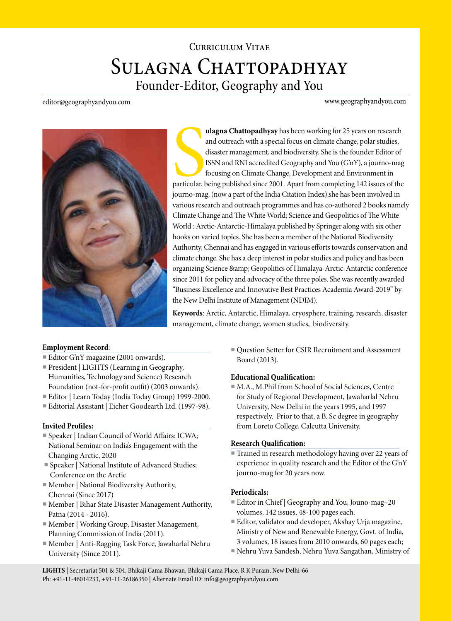# Curriculum Vitae SULAGNA CHATTOPADHYAY Founder-Editor, Geography and You

editor@geographyandyou.com

www.geographyandyou.com



Superior de la Catalana de la Catalana de la Catalana de la Catalana de la Catalana de la Catalana de la Catalana de la Catalana de la Catalana de la Catalana de la Catalana de la Catalana de la Catalana de la Catalana de **ulagna Chattopadhyay** has been working for 25 years on research and outreach with a special focus on climate change, polar studies, disaster management, and biodiversity. She is the founder Editor of ISSN and RNI accredited Geography and You (G'nY), a journo-mag focusing on Climate Change, Development and Environment in particular, being published since 2001. Apart from completing 142 issues of the journo-mag, (now a part of the India Citation Index),she has been involved in various research and outreach programmes and has co-authored 2 books namely Climate Change and The White World; Science and Geopolitics of The White World : Arctic-Antarctic-Himalaya published by Springer along with six other books on varied topics. She has been a member of the National Biodiversity Authority, Chennai and has engaged in various efforts towards conservation and climate change. She has a deep interest in polar studies and policy and has been organizing Science & amp; Geopolitics of Himalaya-Arctic-Antarctic conference since 2011 for policy and advocacy of the three poles. She was recently awarded "Business Excellence and Innovative Best Practices Academia Award-2019" by the New Delhi Institute of Management (NDIM).

**Keywords**: Arctic, Antarctic, Himalaya, cryosphere, training, research, disaster management, climate change, women studies, biodiversity.

#### **Employment Record**:

- Editor G'nY magazine (2001 onwards).
- President | LIGHTS (Learning in Geography, Humanities, Technology and Science) Research Foundation (not-for-profit outfit) (2003 onwards).
- Editor | Learn Today (India Today Group) 1999-2000.
- Editorial Assistant | Eicher Goodearth Ltd. (1997-98).

#### **Invited Profiles:**

- Speaker | Indian Council of World Affairs: ICWA; National Seminar on India's Engagement with the Changing Arctic, 2020
- Speaker | National Institute of Advanced Studies; Conference on the Arctic
- Member | National Biodiversity Authority, Chennai (Since 2017)
- Member | Bihar State Disaster Management Authority, Patna (2014 - 2016).
- Member | Working Group, Disaster Management, Planning Commission of India (2011).
- Member | Anti-Ragging Task Force, Jawaharlal Nehru University (Since 2011).

■ Question Setter for CSIR Recruitment and Assessment Board (2013).

## **Educational Qualification:**

■ M.A., M.Phil from School of Social Sciences, Centre for Study of Regional Development, Jawaharlal Nehru University, New Delhi in the years 1995, and 1997 respectively. Prior to that, a B. Sc degree in geography from Loreto College, Calcutta University.

#### **Research Qualification:**

■ Trained in research methodology having over 22 years of experience in quality research and the Editor of the G'nY journo-mag for 20 years now.

#### **Periodicals:**

- Editor in Chief | Geography and You, Jouno-mag–20 volumes, 142 issues, 48-100 pages each.
- Editor, validator and developer, Akshay Urja magazine, Ministry of New and Renewable Energy, Govt. of India, 3 volumes, 18 issues from 2010 onwards, 60 pages each;
- Nehru Yuva Sandesh, Nehru Yuva Sangathan, Ministry of

**LIGHTS** | Secretariat 501 & 504, Bhikaji Cama Bhawan, Bhikaji Cama Place, R K Puram, New Delhi-66 Ph: +91-11-46014233, +91-11-26186350 | Alternate Email ID: info@geographyandyou.com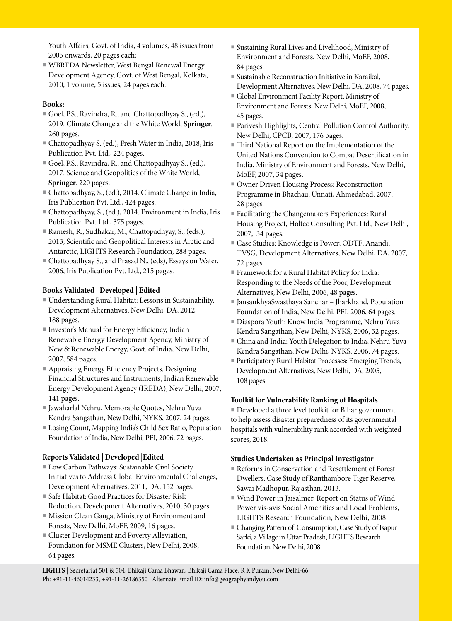Youth Affairs, Govt. of India, 4 volumes, 48 issues from 2005 onwards, 20 pages each;

■ WBREDA Newsletter, West Bengal Renewal Energy Development Agency, Govt. of West Bengal, Kolkata, 2010, 1 volume, 5 issues, 24 pages each.

## **Books:**

- Goel, P.S., Ravindra, R., and Chattopadhyay S., (ed.), 2019. Climate Change and the White World, **Springer**. 260 pages.
- Chattopadhyay S. (ed.), Fresh Water in India, 2018, Iris Publication Pvt. Ltd., 224 pages.
- Goel, P.S., Ravindra, R., and Chattopadhyay S., (ed.), 2017. Science and Geopolitics of the White World, **Springer**. 220 pages.
- Chattopadhyay, S., (ed.), 2014. Climate Change in India, Iris Publication Pvt. Ltd., 424 pages.
- Chattopadhyay, S., (ed.), 2014. Environment in India, Iris Publication Pvt. Ltd., 375 pages.
- Ramesh, R., Sudhakar, M., Chattopadhyay, S., (eds.), 2013, Scientific and Geopolitical Interests in Arctic and Antarctic, LIGHTS Research Foundation, 288 pages.
- Chattopadhyay S., and Prasad N., (eds), Essays on Water, 2006, Iris Publication Pvt. Ltd., 215 pages.

## **Books Validated | Developed | Edited**

- Understanding Rural Habitat: Lessons in Sustainability, Development Alternatives, New Delhi, DA, 2012, 188 pages.
- Investor's Manual for Energy Efficiency, Indian Renewable Energy Development Agency, Ministry of New & Renewable Energy, Govt. of India, New Delhi, 2007, 584 pages.
- Appraising Energy Efficiency Projects, Designing Financial Structures and Instruments, Indian Renewable Energy Development Agency (IREDA), New Delhi, 2007, 141 pages.
- Jawaharlal Nehru, Memorable Quotes, Nehru Yuva Kendra Sangathan, New Delhi, NYKS, 2007, 24 pages.
- Losing Count, Mapping India's Child Sex Ratio, Population Foundation of India, New Delhi, PFI, 2006, 72 pages.

#### **Reports Validated | Developed |Edited**

- Low Carbon Pathways: Sustainable Civil Society Initiatives to Address Global Environmental Challenges, Development Alternatives, 2011, DA, 152 pages.
- Safe Habitat: Good Practices for Disaster Risk Reduction, Development Alternatives, 2010, 30 pages.
- Mission Clean Ganga, Ministry of Environment and Forests, New Delhi, MoEF, 2009, 16 pages.
- Cluster Development and Poverty Alleviation, Foundation for MSME Clusters, New Delhi, 2008, 64 pages.
- Sustaining Rural Lives and Livelihood, Ministry of Environment and Forests, New Delhi, MoEF, 2008, 84 pages.
- Sustainable Reconstruction Initiative in Karaikal, Development Alternatives, New Delhi, DA, 2008, 74 pages.
- Global Environment Facility Report, Ministry of Environment and Forests, New Delhi, MoEF, 2008, 45 pages.
- Parivesh Highlights, Central Pollution Control Authority, New Delhi, CPCB, 2007, 176 pages.
- Third National Report on the Implementation of the United Nations Convention to Combat Desertification in India, Ministry of Environment and Forests, New Delhi, MoEF, 2007, 34 pages.
- Owner Driven Housing Process: Reconstruction Programme in Bhachau, Unnati, Ahmedabad, 2007, 28 pages.
- Facilitating the Changemakers Experiences: Rural Housing Project, Holtec Consulting Pvt. Ltd., New Delhi, 2007, 34 pages.
- Case Studies: Knowledge is Power; ODTF; Anandi; TVSG, Development Alternatives, New Delhi, DA, 2007, 72 pages.
- Framework for a Rural Habitat Policy for India: Responding to the Needs of the Poor, Development Alternatives, New Delhi, 2006, 48 pages.
- JansankhyaSwasthaya Sanchar Jharkhand, Population Foundation of India, New Delhi, PFI, 2006, 64 pages.
- Diaspora Youth: Know India Programme, Nehru Yuva Kendra Sangathan, New Delhi, NYKS, 2006, 52 pages.
- China and India: Youth Delegation to India, Nehru Yuva Kendra Sangathan, New Delhi, NYKS, 2006, 74 pages.
- Participatory Rural Habitat Processes: Emerging Trends, Development Alternatives, New Delhi, DA, 2005, 108 pages.

#### **Toolkit for Vulnerability Ranking of Hospitals**

■ Developed a three level toolkit for Bihar government to help assess disaster preparedness of its governmental hospitals with vulnerability rank accorded with weighted scores, 2018.

#### **Studies Undertaken as Principal Investigator**

- Reforms in Conservation and Resettlement of Forest Dwellers, Case Study of Ranthambore Tiger Reserve, Sawai Madhopur, Rajasthan, 2013.
- Wind Power in Jaisalmer, Report on Status of Wind Power vis-avis Social Amenities and Local Problems, LIGHTS Research Foundation, New Delhi, 2008.
- Changing Pattern of Consumption, Case Study of Isapur Sarki, a Village in Uttar Pradesh, LIGHTS Research Foundation, New Delhi, 2008.

**LIGHTS** | Secretariat 501 & 504, Bhikaji Cama Bhawan, Bhikaji Cama Place, R K Puram, New Delhi-66 Ph: +91-11-46014233, +91-11-26186350 | Alternate Email ID: info@geographyandyou.com